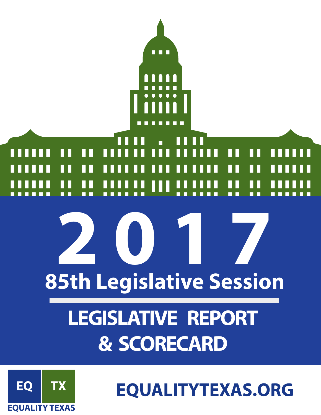



**EQUALITYTEXAS.ORG**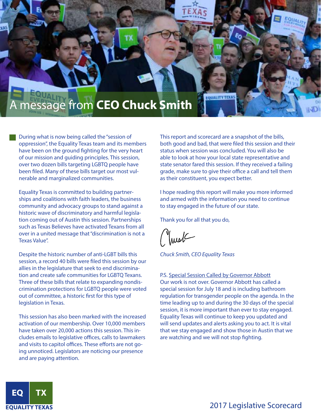

During what is now being called the "session of oppression", the Equality Texas team and its members have been on the ground fighting for the very heart of our mission and guiding principles. This session, over two dozen bills targeting LGBTQ people have been filed. Many of these bills target our most vulnerable and marginalized communities.

Equality Texas is committed to building partnerships and coalitions with faith leaders, the business community and advocacy groups to stand against a historic wave of discriminatory and harmful legislation coming out of Austin this session. Partnerships such as Texas Believes have activated Texans from all over in a united message that "discrimination is not a Texas Value".

Despite the historic number of anti-LGBT bills this session, a record 40 bills were filed this session by our allies in the legislature that seek to end discrimination and create safe communities for LGBTQ Texans. Three of these bills that relate to expanding nondiscrimination protections for LGBTQ people were voted out of committee, a historic first for this type of legislation in Texas.

This session has also been marked with the increased activation of our membership. Over 10,000 members have taken over 20,000 actions this session. This includes emails to legislative offices, calls to lawmakers and visits to capitol offices. These efforts are not going unnoticed. Legislators are noticing our presence and are paying attention.

This report and scorecard are a snapshot of the bills, both good and bad, that were filed this session and their status when session was concluded. You will also be able to look at how your local state representative and state senator fared this session. If they received a failing grade, make sure to give their office a call and tell them as their constituent, you expect better.

**EQUALITY TEXA** 

EQUAL

I hope reading this report will make you more informed and armed with the information you need to continue to stay engaged in the future of our state.

Thank you for all that you do,

Juret

*Chuck Smith, CEO Equality Texas*

P.S. Special Session Called by Governor Abbott Our work is not over. Governor Abbott has called a special session for July 18 and is including bathroom regulation for transgender people on the agenda. In the time leading up to and during the 30 days of the special session, it is more important than ever to stay engaged. Equality Texas will continue to keep you updated and will send updates and alerts asking you to act. It is vital that we stay engaged and show those in Austin that we are watching and we will not stop fighting.

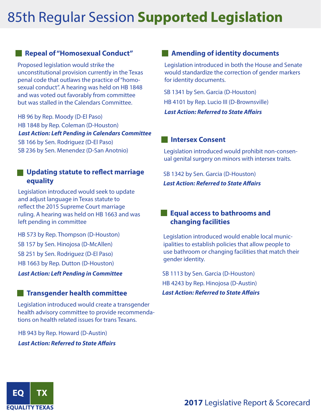# 85th Regular Session **Supported Legislation**

#### **Repeal of "Homosexual Conduct"**

Proposed legislation would strike the unconstitutional provision currently in the Texas penal code that outlaws the practice of "homosexual conduct". A hearing was held on HB 1848 and was voted out favorably from committee but was stalled in the Calendars Committee.

HB 96 by Rep. Moody (D-El Paso) HB 1848 by Rep. Coleman (D-Houston) SB 166 by Sen. Rodriguez (D-El Paso) SB 236 by Sen. Menendez (D-San Anotnio) *Last Action: Left Pending in Calendars Committee*

#### **Updating statute to reflect marriage equality**

Legislation introduced would seek to update and adjust language in Texas statute to reflect the 2015 Supreme Court marriage ruling. A hearing was held on HB 1663 and was left pending in committee

HB 1663 by Rep. Dutton (D-Houston) HB 573 by Rep. Thompson (D-Houston) SB 157 by Sen. Hinojosa (D-McAllen) SB 251 by Sen. Rodriguez (D-El Paso)

*Last Action: Left Pending in Committee*

#### **Transgender health committee** *Last Action: Referred to State Affairs*

Legislation introduced would create a transgender health advisory committee to provide recommendations on health related issues for trans Texans.

HB 943 by Rep. Howard (D-Austin) *Last Action: Referred to State Affairs*

#### **Amending of identity documents**

Legislation introduced in both the House and Senate would standardize the correction of gender markers for identity documents.

SB 1341 by Sen. Garcia (D-Houston) HB 4101 by Rep. Lucio III (D-Brownsville) *Last Action: Referred to State Affairs* 

#### **Intersex Consent**

Legislation introduced would prohibit non-consenual genital surgery on minors with intersex traits.

SB 1342 by Sen. Garcia (D-Houston) *Last Action: Referred to State Affairs* 

#### **Equal access to bathrooms and changing facilities**

Legislation introduced would enable local municipalities to establish policies that allow people to use bathroom or changing facilities that match their gender identity.

SB 1113 by Sen. Garcia (D-Houston) HB 4243 by Rep. Hinojosa (D-Austin)

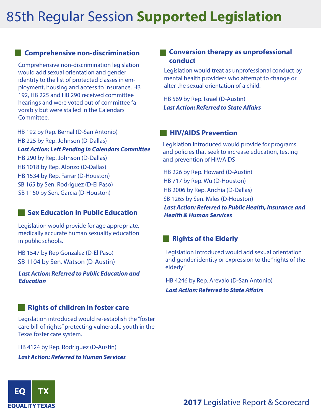# 85th Regular Session **Supported Legislation**

#### **Comprehensive non-discrimination**

Comprehensive non-discrimination legislation would add sexual orientation and gender identity to the list of protected classes in employment, housing and access to insurance. HB 192, HB 225 and HB 290 received committee hearings and were voted out of committee favorably but were stalled in the Calendars Committee.

HB 192 by Rep. Bernal (D-San Antonio) HB 225 by Rep. Johnson (D-Dallas) HB 290 by Rep. Johnson (D-Dallas) HB 1018 by Rep. Alonzo (D-Dallas) HB 1534 by Rep. Farrar (D-Houston)<br>
HB 717 by Rep. Wu (D-Houston)<br>
HB 717 by Rep. Wu (D-Houston) SB 165 by Sen. Rodriguez (D-El Paso) SB 1160 by Sen. Garcia (D-Houston) *Last Action: Left Pending in Calendars Committee*

#### **Sex Education in Public Education**

Legislation would provide for age appropriate, medically accurate human sexuality education in public schools.

HB 1547 by Rep Gonzalez (D-El Paso) SB 1104 by Sen. Watson (D-Austin)

*Last Action: Referred to Public Education and Education*

#### **Rights of children in foster care**

Legislation introduced would re-establish the "foster care bill of rights" protecting vulnerable youth in the Texas foster care system.

HB 4124 by Rep. Rodriguez (D-Austin) *Last Action: Referred to Human Services* 

#### **EXCONVERSION therapy as unprofessional conduct**

Legislation would treat as unprofessional conduct by mental health providers who attempt to change or alter the sexual orientation of a child.

HB 569 by Rep. Israel (D-Austin) *Last Action: Referred to State Affairs* 

#### **HIV/AIDS Prevention**

Legislation introduced would provide for programs and policies that seek to increase education, testing and prevention of HIV/AIDS

HB 226 by Rep. Howard (D-Austin) HB 2006 by Rep. Anchia (D-Dallas) SB 1265 by Sen. Miles (D-Houston)

*Last Action: Referred to Public Health, Insurance and Health & Human Services*

#### **Rights of the Elderly**

Legislation introduced would add sexual orientation and gender identity or expression to the "rights of the elderly"

HB 4246 by Rep. Arevalo (D-San Antonio)

*Last Action: Referred to State Affairs* 

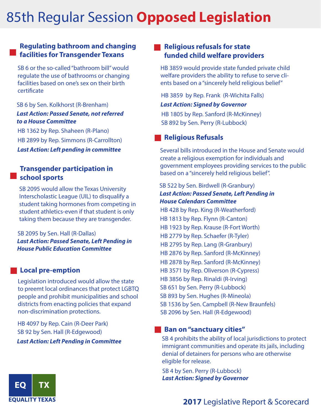# 85th Regular Session **Opposed Legislation**

#### **Regulating bathroom and changing facilities for Transgender Texans**

SB 6 or the so-called "bathroom bill" would regulate the use of bathrooms or changing facilities based on one's sex on their birth certificate

#### *Last Action: Passed Senate, not referred to a House Committee* SB 6 by Sen. Kolkhorst (R-Brenham)

HB 1362 by Rep. Shaheen (R-Plano) HB 2899 by Rep. Simmons (R-Carrollton) *Last Action: Left pending in committee*

#### **Transgender participation in school sports**

SB 2095 would allow the Texas University Interscholastic League (UIL) to disqualify a student taking hormones from competing in student athletics-even if that student is only taking them because they are transgender.

*Last Action: Passed Senate, Left Pending in House Public Education Committee* SB 2095 by Sen. Hall (R-Dallas)

#### **Local pre-emption**

Legislation introduced would allow the state to preemt local ordinances that protect LGBTQ people and prohibit municipalities and school districts from enacting policies that expand non-discrimination protections.

HB 4097 by Rep. Cain (R-Deer Park) SB 92 by Sen. Hall (R-Edgewood) *Last Action: Left Pending in Committee*

#### **Religious refusals for state funded child welfare providers**

HB 3859 would provide state funded private child welfare providers the ability to refuse to serve clients based on a "sincerely held religious belief"

*Last Action: Signed by Governor* HB 3859 by Rep. Frank (R-Wichita Falls) HB 1805 by Rep. Sanford (R-McKinney) SB 892 by Sen. Perry (R-Lubbock)

#### **Religious Refusals**

Several bills introduced in the House and Senate would create a religious exemption for individuals and government employees providing services to the public based on a "sincerely held religious belief".

*Last Action: Passed Senate, Left Pending in House Calendars Committee* HB 1813 by Rep. Flynn (R-Canton) HB 2779 by Rep. Schaefer (R-Tyler) HB 2795 by Rep. Lang (R-Granbury) HB 2876 by Rep. Sanford (R-McKinney) HB 3856 by Rep. Rinaldi (R-Irving) SB 522 by Sen. Birdwell (R-Granbury) HB 2878 by Rep. Sanford (R-McKinney) HB 428 by Rep. King (R-Weatherford) HB 1923 by Rep. Krause (R-Fort Worth) HB 3571 by Rep. Oliverson (R-Cypress) SB 651 by Sen. Perry (R-Lubbock) SB 893 by Sen. Hughes (R-Mineola) SB 2096 by Sen. Hall (R-Edgewood) SB 1536 by Sen. Campbell (R-New Braunfels)

#### **Ban on "sanctuary cities"**

SB 4 prohibits the ability of local jurisdictions to protect immigrant communities and operate its jails, including denial of detainers for persons who are otherwise eligible for release.

SB 4 by Sen. Perry (R-Lubbock) *Last Action: Signed by Governor*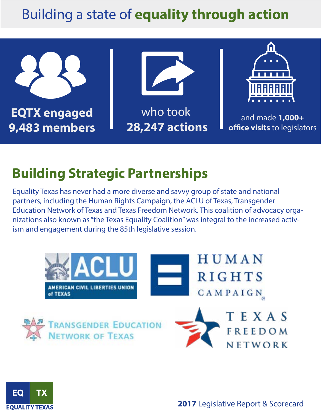# Building a state of **equality through action**



## **Building Strategic Partnerships**

Equality Texas has never had a more diverse and savvy group of state and national partners, including the Human Rights Campaign, the ACLU of Texas, Transgender Education Network of Texas and Texas Freedom Network. This coalition of advocacy organizations also known as "the Texas Equality Coalition" was integral to the increased activism and engagement during the 85th legislative session.





**2017** Legislative Report & Scorecard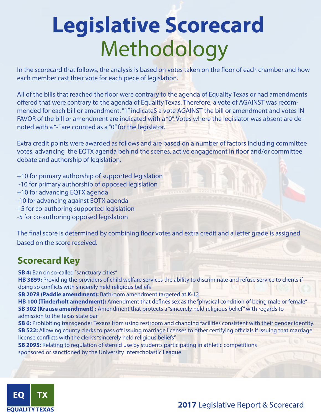# **Legislative Scorecard** Methodology

In the scorecard that follows, the analysis is based on votes taken on the floor of each chamber and how each member cast their vote for each piece of legislation.

All of the bills that reached the floor were contrary to the agenda of Equality Texas or had amendments offered that were contrary to the agenda of Equality Texas. Therefore, a vote of AGAINST was recommended for each bill or amendment. "1" indicateS a vote AGAINST the bill or amendment and votes IN FAVOR of the bill or amendment are indicated with a "0". Votes where the legislator was absent are denoted with a "-" are counted as a "0" for the legislator.

Extra credit points were awarded as follows and are based on a number of factors including committee votes, advancing the EQTX agenda behind the scenes, active engagement in floor and/or committee debate and authorship of legislation.

+10 for primary authorship of supported legislation

- -10 for primary authorship of opposed legislation
- +10 for advancing EQTX agenda
- -10 for advancing against EQTX agenda
- +5 for co-authoring supported legislation
- -5 for co-authoring opposed legislation

The final score is determined by combining floor votes and extra credit and a letter grade is assigned based on the score received.

#### **Scorecard Key**

**SB 4:** Ban on so-called "sanctuary cities"

**HB 3859:** Providing the providers of child welfare services the ability to discriminate and refuse service to clients if doing so conflicts with sincerely held religious beliefs

**SB 2078 (Paddie amendment):** Bathroom amendment targeted at K-12

**HB 100 (Tinderholt amendment):** Amendment that defines sex as the "physical condition of being male or female" **SB 302 (Krause amendment) :** Amendment that protects a "sincerely held religious belief" with regards to admission to the Texas state bar

**SB 6:** Prohibiting transgender Texans from using restroom and changing facilities consistent with their gender identity. **SB 522:** Allowing county clerks to pass off issuing marriage licenses to other certifying officials if issuing that marriage license conflicts with the clerk's "sincerely held religious beliefs"

**SB 2095:** Relating to regulation of steroid use by students participating in athletic competitions sponsored or sanctioned by the University Interscholastic League



**2017** Legislative Report & Scorecard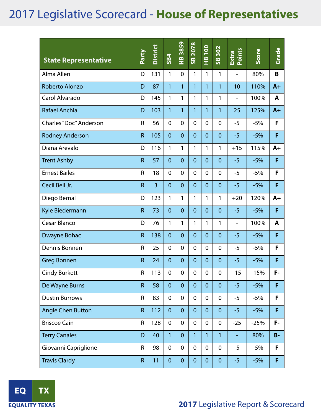| <b>State Representative</b> | Party          | <b>District</b> | <b>SB4</b>     | 3859<br>$\frac{8}{1}$ | 2078<br>$\frac{8}{5}$ | <b>001</b><br>$\frac{1}{2}$ | 302<br>$\overline{\mathbf{5}}$ | Points<br>Extra          | Score  | Grade |
|-----------------------------|----------------|-----------------|----------------|-----------------------|-----------------------|-----------------------------|--------------------------------|--------------------------|--------|-------|
| Alma Allen                  | D              | 131             | 1              | $\overline{0}$        | 1                     | $\mathbf{1}$                | 1                              | $\overline{\phantom{0}}$ | 80%    | B     |
| <b>Roberto Alonzo</b>       | D              | 87              | $\mathbf{1}$   | 1                     | 1                     | $\mathbf{1}$                | $\mathbf{1}$                   | 10                       | 110%   | $A+$  |
| Carol Alvarado              | D              | 145             | 1              | 1                     | 1                     | 1                           | 1                              | -                        | 100%   | A     |
| Rafael Anchia               | D              | 103             | 1              | 1                     | 1                     | $\mathbf{1}$                | $\mathbf{1}$                   | 25                       | 125%   | $A+$  |
| Charles "Doc" Anderson      | R              | 56              | 0              | $\mathbf 0$           | $\mathbf 0$           | 0                           | $\overline{0}$                 | $-5$                     | $-5%$  | F     |
| <b>Rodney Anderson</b>      | $\mathsf{R}$   | 105             | $\overline{0}$ | $\overline{0}$        | $\overline{0}$        | $\overline{0}$              | $\overline{0}$                 | $-5$                     | $-5%$  | F     |
| Diana Arevalo               | D              | 116             | 1              | 1                     | 1                     | $\mathbf{1}$                | $\mathbf{1}$                   | $+15$                    | 115%   | $A+$  |
| <b>Trent Ashby</b>          | R              | 57              | $\overline{0}$ | $\overline{0}$        | $\overline{0}$        | $\overline{0}$              | $\overline{0}$                 | $-5$                     | $-5%$  | F     |
| <b>Ernest Bailes</b>        | R              | 18              | 0              | $\mathbf 0$           | $\mathbf 0$           | $\overline{0}$              | $\overline{0}$                 | $-5$                     | $-5%$  | F     |
| Cecil Bell Jr.              | $\mathsf{R}$   | $\overline{3}$  | $\overline{0}$ | $\overline{0}$        | $\overline{0}$        | $\overline{0}$              | $\overline{0}$                 | $-5$                     | $-5%$  | F     |
| Diego Bernal                | D              | 123             | 1              | 1                     | 1                     | $\mathbf{1}$                | 1                              | $+20$                    | 120%   | $A+$  |
| Kyle Biedermann             | $\mathsf{R}$   | 73              | $\overline{0}$ | $\overline{0}$        | $\overline{0}$        | $\overline{0}$              | $\overline{0}$                 | $-5$                     | $-5%$  | F     |
| Cesar Blanco                | D              | 76              | 1              | 1                     | 1                     | 1                           | 1                              | $\overline{\phantom{0}}$ | 100%   | A     |
| Dwayne Bohac                | $\mathsf{R}$   | 138             | $\overline{0}$ | $\overline{0}$        | $\overline{0}$        | $\overline{0}$              | $\overline{0}$                 | $-5$                     | $-5%$  | F     |
| Dennis Bonnen               | R              | 25              | $\mathbf 0$    | $\mathbf 0$           | $\mathbf 0$           | 0                           | $\overline{0}$                 | $-5$                     | $-5%$  | F     |
| <b>Greg Bonnen</b>          | $\overline{R}$ | 24              | $\overline{0}$ | $\overline{0}$        | $\overline{0}$        | $\overline{0}$              | $\overline{0}$                 | $-5$                     | $-5%$  | F     |
| <b>Cindy Burkett</b>        | ${\sf R}$      | 113             | $\overline{0}$ | $\overline{0}$        | $\overline{0}$        | $\overline{0}$              | $\mathbf 0$                    | $-15$                    | $-15%$ | F-    |
| De Wayne Burns              | $\mathsf{R}$   | 58              | $\overline{0}$ | $\overline{0}$        | $\mathbf{0}$          | $\overline{0}$              | $\mathbf{0}$                   | $-5$                     | $-5%$  | F     |
| <b>Dustin Burrows</b>       | R              | 83              | $\mathbf 0$    | $\overline{0}$        | $\mathbf 0$           | $\mathbf 0$                 | $\mathbf 0$                    | $-5$                     | $-5%$  | F     |
| <b>Angie Chen Button</b>    | $\mathsf{R}$   | 112             | $\overline{0}$ | $\mathbf{0}$          | $\mathbf{0}$          | $\overline{0}$              | $\overline{0}$                 | $-5$                     | $-5%$  | F     |
| <b>Briscoe Cain</b>         | R              | 128             | $\mathbf 0$    | $\overline{0}$        | $\mathbf 0$           | $\mathbf 0$                 | 0                              | $-25$                    | $-25%$ | F-    |
| <b>Terry Canales</b>        | D              | 40              | $\mathbf{1}$   | $\mathbf{0}$          | $\mathbf{1}$          | $\mathbf{1}$                | $\mathbf{1}$                   | ÷                        | 80%    | $B -$ |
| Giovanni Capriglione        | R              | 98              | $\mathbf 0$    | $\overline{0}$        | $\mathbf 0$           | $\mathbf 0$                 | $\mathbf 0$                    | $-5$                     | $-5%$  | F     |
| <b>Travis Clardy</b>        | $\mathsf{R}$   | 11              | $\mathbf{0}$   | $\mathbf{0}$          | $\mathbf 0$           | $\mathbf{0}$                | $\pmb{0}$                      | $-5$                     | $-5%$  | F     |

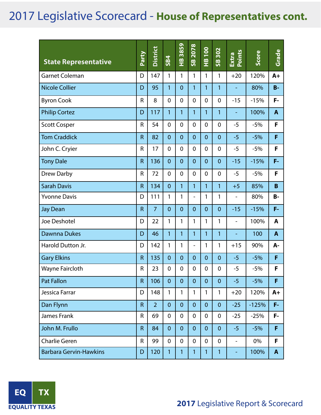| <b>State Representative</b>   | Party          | <b>District</b> | <b>SB4</b>     | 3859<br>$\frac{\omega}{L}$ | 2078<br>$\frac{8}{5}$    | <b>001</b><br>$\frac{\infty}{1}$ | 302<br>$\frac{8}{5}$ | Points<br>Extra          | Score   | Grade          |
|-------------------------------|----------------|-----------------|----------------|----------------------------|--------------------------|----------------------------------|----------------------|--------------------------|---------|----------------|
| <b>Garnet Coleman</b>         | D              | 147             | 1              | 1                          | $\mathbf{1}$             | 1                                | 1                    | $+20$                    | 120%    | $A+$           |
| <b>Nicole Collier</b>         | D              | 95              | 1              | $\overline{0}$             | $\mathbf{1}$             | 1                                | 1                    | ٠                        | 80%     | $B -$          |
| <b>Byron Cook</b>             | $\mathsf{R}$   | 8               | $\mathbf 0$    | $\mathbf 0$                | $\mathbf 0$              | $\mathbf 0$                      | $\mathbf 0$          | $-15$                    | $-15%$  | F-             |
| <b>Philip Cortez</b>          | D              | 117             | 1              | 1                          | $\mathbf{1}$             | 1                                | 1                    | -                        | 100%    | $\mathbf{A}$   |
| <b>Scott Cosper</b>           | $\mathsf{R}$   | 54              | $\mathbf 0$    | $\overline{0}$             | $\overline{0}$           | $\mathbf 0$                      | $\mathbf 0$          | $-5$                     | $-5%$   | F              |
| <b>Tom Craddick</b>           | $\mathsf{R}$   | 82              | $\overline{0}$ | $\overline{0}$             | $\overline{0}$           | $\overline{0}$                   | $\overline{0}$       | $-5$                     | $-5%$   | F              |
| John C. Cryier                | $\mathsf{R}$   | 17              | $\mathbf 0$    | $\overline{0}$             | $\overline{0}$           | $\mathbf 0$                      | $\mathbf 0$          | $-5$                     | $-5%$   | F              |
| <b>Tony Dale</b>              | $\overline{R}$ | 136             | $\overline{0}$ | $\overline{0}$             | $\overline{0}$           | $\overline{0}$                   | $\overline{0}$       | $-15$                    | $-15%$  | F-             |
| <b>Drew Darby</b>             | $\mathsf{R}$   | 72              | $\mathbf 0$    | $\overline{0}$             | $\overline{0}$           | $\mathbf 0$                      | $\mathbf 0$          | $-5$                     | $-5%$   | F              |
| <b>Sarah Davis</b>            | $\mathsf{R}$   | 134             | $\overline{0}$ | 1                          | $\mathbf{1}$             | 1                                | 1                    | $+5$                     | 85%     | B              |
| <b>Yvonne Davis</b>           | D              | 111             | 1              | 1                          | $\overline{\phantom{0}}$ | 1                                | 1                    | -                        | 80%     | <b>B-</b>      |
| <b>Jay Dean</b>               | $\mathsf{R}$   | $\overline{7}$  | $\overline{0}$ | $\overline{0}$             | $\overline{0}$           | $\overline{0}$                   | $\overline{0}$       | $-15$                    | $-15%$  | F-             |
| Joe Deshotel                  | D              | 22              | 1              | 1                          | 1                        | 1                                | 1                    | $\overline{a}$           | 100%    | A              |
| <b>Dawnna Dukes</b>           | D              | 46              | $\mathbf{1}$   | 1                          | $\mathbf{1}$             | 1                                | 1                    | ÷,                       | 100     | $\overline{A}$ |
| Harold Dutton Jr.             | D              | 142             | 1              | 1                          | $\frac{1}{2}$            | 1                                | 1                    | $+15$                    | 90%     | A-             |
| <b>Gary Elkins</b>            | $\mathsf{R}$   | 135             | $\mathbf{0}$   | $\mathbf{0}$               | $\overline{0}$           | $\overline{0}$                   | $\overline{0}$       | $-5$                     | $-5%$   | F              |
| Wayne Faircloth               | R              | 23              | $\mathbf 0$    | $\mathbf 0$                | 0                        | $\mathbf 0$                      | $\mathbf 0$          | $-5$                     | $-5%$   | F              |
| <b>Pat Fallon</b>             | $\mathsf{R}$   | 106             | $\overline{0}$ | $\mathbf{0}$               | $\mathbf{0}$             | $\mathbf{0}$                     | $\mathbf{0}$         | $-5$                     | $-5%$   | F              |
| Jessica Farrar                | D              | 148             | $\mathbf{1}$   | 1                          | $\mathbf{1}$             | $\mathbf{1}$                     | 1                    | $+20$                    | 120%    | $A+$           |
| Dan Flynn                     | $\mathsf{R}$   | $\overline{2}$  | $\overline{0}$ | $\mathbf{0}$               | $\mathbf{0}$             | $\mathbf{0}$                     | $\overline{0}$       | $-25$                    | $-125%$ | F-             |
| James Frank                   | R              | 69              | $\mathbf 0$    | $\mathbf 0$                | 0                        | $\mathbf 0$                      | $\mathbf 0$          | $-25$                    | $-25%$  | F-             |
| John M. Frullo                | $\mathsf{R}$   | 84              | $\overline{0}$ | $\mathbf{0}$               | $\mathbf{0}$             | $\mathbf{0}$                     | $\mathbf{0}$         | $-5$                     | $-5%$   | F              |
| <b>Charlie Geren</b>          | $\mathsf R$    | 99              | $\mathbf 0$    | $\mathbf 0$                | 0                        | $\mathbf 0$                      | $\mathbf 0$          | $\overline{\phantom{0}}$ | 0%      | F              |
| <b>Barbara Gervin-Hawkins</b> | D              | 120             | $\mathbf{1}$   | $\mathbf{1}$               | $\mathbf{1}$             | $\mathbf{1}$                     | $\mathbf{1}$         | ۰                        | 100%    | $\mathbf{A}$   |

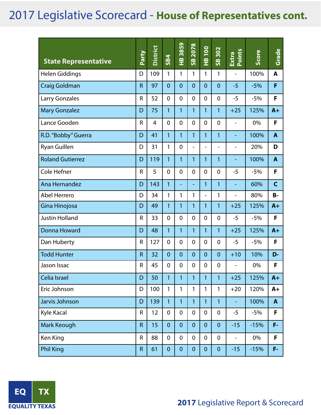| <b>State Representative</b> | Party        | <b>District</b> | <b>SB4</b>     | 3859<br>$\frac{\omega}{L}$ | 2078<br>$\frac{8}{5}$    | $\overline{100}$<br>$\frac{\omega}{T}$ | 302<br>$\frac{8}{5}$     | Points<br>Extra          | Score  | Grade        |
|-----------------------------|--------------|-----------------|----------------|----------------------------|--------------------------|----------------------------------------|--------------------------|--------------------------|--------|--------------|
| <b>Helen Giddings</b>       | D            | 109             | 1              | 1                          | 1                        | 1                                      | $\mathbf{1}$             | $\overline{a}$           | 100%   | A            |
| <b>Craig Goldman</b>        | $\mathsf{R}$ | 97              | $\overline{0}$ | $\overline{0}$             | $\overline{0}$           | $\overline{0}$                         | $\overline{0}$           | $-5$                     | $-5%$  | F            |
| Larry Gonzales              | R            | 52              | $\overline{0}$ | $\mathbf 0$                | 0                        | $\Omega$                               | $\mathbf 0$              | $-5$                     | $-5%$  | F            |
| <b>Mary Gonzalez</b>        | D            | 75              | 1              | 1                          | 1                        | 1                                      | $\mathbf{1}$             | $+25$                    | 125%   | $A+$         |
| Lance Gooden                | $\mathsf{R}$ | $\overline{4}$  | $\overline{0}$ | $\overline{0}$             | 0                        | $\overline{0}$                         | $\mathbf 0$              | ÷,                       | 0%     | F            |
| R.D. "Bobby" Guerra         | D            | 41              | 1              | 1                          | 1                        | 1                                      | 1                        | ÷,                       | 100%   | $\mathbf{A}$ |
| Ryan Guillen                | D            | 31              | 1              | $\overline{0}$             | $\overline{\phantom{0}}$ | -                                      | $\overline{\phantom{a}}$ | $\overline{\phantom{0}}$ | 20%    | D            |
| <b>Roland Gutierrez</b>     | D            | 119             | 1              | 1                          | 1                        | 1                                      | $\mathbf{1}$             | Ξ                        | 100%   | $\mathbf{A}$ |
| Cole Hefner                 | $\mathsf{R}$ | 5               | $\overline{0}$ | $\mathbf 0$                | $\overline{0}$           | $\mathbf 0$                            | $\mathbf 0$              | $-5$                     | $-5%$  | F            |
| Ana Hernandez               | D            | 143             | $\mathbf{1}$   | $\equiv$                   | $\blacksquare$           | 1                                      | $\mathbf{1}$             | ÷,                       | 60%    | $\mathsf{C}$ |
| <b>Abel Herrero</b>         | D            | 34              | 1              | 1                          | 1                        | $\frac{1}{2}$                          | $\mathbf{1}$             | $\overline{\phantom{0}}$ | 80%    | <b>B-</b>    |
| Gina Hinojosa               | D            | 49              | $\mathbf{1}$   | 1                          | $\mathbf{1}$             | 1                                      | $\mathbf{1}$             | $+25$                    | 125%   | $A+$         |
| <b>Justin Holland</b>       | R            | 33              | $\mathbf 0$    | $\mathbf 0$                | $\overline{0}$           | $\Omega$                               | $\mathbf 0$              | $-5$                     | $-5%$  | F            |
| Donna Howard                | D            | 48              | 1              | 1                          | 1                        | 1                                      | 1                        | $+25$                    | 125%   | $A+$         |
| Dan Huberty                 | R            | 127             | $\mathbf 0$    | $\overline{0}$             | $\overline{0}$           | $\Omega$                               | $\mathbf{0}$             | $-5$                     | $-5%$  | F            |
| <b>Todd Hunter</b>          | $\mathsf{R}$ | 32              | $\mathbf{0}$   | $\overline{0}$             | $\overline{0}$           | $\overline{0}$                         | $\overline{0}$           | $+10$                    | 10%    | D-           |
| Jason Issac                 | R            | 45              | $\overline{0}$ | $\overline{0}$             | $\overline{0}$           | 0                                      | $\mathbf 0$              | $\overline{\phantom{0}}$ | 0%     | F            |
| Celia Israel                | D            | 50              | 1              | 1                          | 1                        | 1                                      | 1                        | $+25$                    | 125%   | $A+$         |
| Eric Johnson                | D            | 100             | $\mathbf{1}$   | 1                          | 1                        | 1                                      | 1                        | $+20$                    | 120%   | $A+$         |
| Jarvis Johnson              | D            | 139             | $\mathbf{1}$   | $\mathbf{1}$               | $\mathbf{1}$             | 1                                      | $\mathbf{1}$             |                          | 100%   | $\mathbf{A}$ |
| Kyle Kacal                  | R            | 12              | $\mathbf 0$    | $\mathbf 0$                | $\mathbf 0$              | $\mathbf 0$                            | $\mathbf 0$              | $-5$                     | $-5%$  | F            |
| Mark Keough                 | $\mathsf R$  | 15              | $\theta$       | $\mathbf 0$                | $\mathbf{0}$             | $\mathbf{0}$                           | $\mathbf{0}$             | $-15$                    | $-15%$ | F-           |
| Ken King                    | ${\sf R}$    | 88              | $\mathbf 0$    | $\mathbf 0$                | 0                        | $\mathbf 0$                            | $\mathbf 0$              | $\overline{\phantom{0}}$ | 0%     | F            |
| <b>Phil King</b>            | $\mathsf R$  | 61              | $\mathbf 0$    | $\mathbf 0$                | $\mathbf{0}$             | $\mathbf{0}$                           | $\mathbf{0}$             | $-15$                    | $-15%$ | F-           |

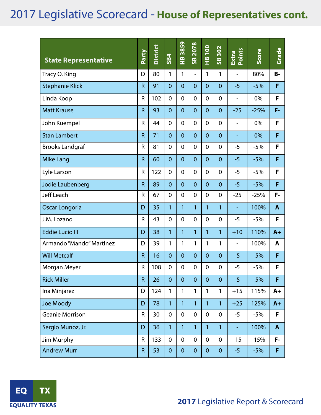| <b>State Representative</b> | Party        | <b>District</b> | <b>SB4</b>       | 3859<br>$\frac{\omega}{L}$ | 2078<br>$\frac{8}{5}$    | $\frac{100}{1}$<br>$\frac{\omega}{L}$ | 302<br>$\frac{8}{5}$ | Extra<br>Points          | Score  | Grade        |
|-----------------------------|--------------|-----------------|------------------|----------------------------|--------------------------|---------------------------------------|----------------------|--------------------------|--------|--------------|
| Tracy O. King               | D            | 80              | 1                | 1                          | $\overline{\phantom{a}}$ | 1                                     | 1                    | $\overline{\phantom{a}}$ | 80%    | <b>B-</b>    |
| <b>Stephanie Klick</b>      | $\mathsf{R}$ | 91              | $\overline{0}$   | $\overline{0}$             | $\overline{0}$           | $\overline{0}$                        | $\overline{0}$       | $-5$                     | $-5%$  | F            |
| Linda Koop                  | R            | 102             | $\mathbf 0$      | $\mathbf 0$                | $\overline{0}$           | $\mathbf 0$                           | $\mathbf 0$          | $\overline{\phantom{0}}$ | 0%     | F            |
| <b>Matt Krause</b>          | $\mathsf{R}$ | 93              | $\overline{0}$   | $\overline{0}$             | $\overline{0}$           | $\overline{0}$                        | $\overline{0}$       | $-25$                    | $-25%$ | F-           |
| John Kuempel                | R            | 44              | $\mathbf 0$      | $\overline{0}$             | $\overline{0}$           | $\mathbf 0$                           | $\mathbf 0$          | -                        | 0%     | F            |
| <b>Stan Lambert</b>         | $\mathsf{R}$ | 71              | $\overline{0}$   | $\overline{0}$             | $\overline{0}$           | $\overline{0}$                        | $\overline{0}$       | ÷,                       | 0%     | F            |
| <b>Brooks Landgraf</b>      | $\mathsf{R}$ | 81              | $\overline{0}$   | $\overline{0}$             | $\overline{0}$           | $\mathbf 0$                           | $\mathbf 0$          | $-5$                     | $-5%$  | F            |
| <b>Mike Lang</b>            | $\mathsf{R}$ | 60              | $\overline{0}$   | $\overline{0}$             | $\overline{0}$           | $\overline{0}$                        | $\overline{0}$       | $-5$                     | $-5%$  | F            |
| Lyle Larson                 | R            | 122             | $\mathbf 0$      | $\overline{0}$             | $\overline{0}$           | $\mathbf 0$                           | $\mathbf 0$          | $-5$                     | $-5%$  | F            |
| Jodie Laubenberg            | $\mathsf{R}$ | 89              | $\overline{0}$   | $\overline{0}$             | $\overline{0}$           | $\overline{0}$                        | $\overline{0}$       | $-5$                     | $-5%$  | F            |
| <b>Jeff Leach</b>           | R            | 67              | $\mathbf 0$      | $\overline{0}$             | $\overline{0}$           | $\mathbf 0$                           | $\mathbf 0$          | $-25$                    | $-25%$ | F-           |
| Oscar Longoria              | D            | 35              | $\mathbf{1}$     | 1                          | 1                        | 1                                     | 1                    | ٠                        | 100%   | $\mathbf{A}$ |
| J.M. Lozano                 | $\mathsf{R}$ | 43              | $\mathbf 0$      | $\overline{0}$             | $\overline{0}$           | $\mathbf 0$                           | $\mathbf 0$          | $-5$                     | $-5%$  | F            |
| <b>Eddie Lucio III</b>      | D            | 38              | $\mathbf{1}$     | 1                          | $\mathbf{1}$             | 1                                     | 1                    | $+10$                    | 110%   | $A+$         |
| Armando "Mando" Martinez    | D            | 39              | 1                | 1                          | 1                        | 1                                     | 1                    | $\overline{\phantom{0}}$ | 100%   | A            |
| <b>Will Metcalf</b>         | $\mathsf{R}$ | 16              | $\overline{0}$   | $\overline{0}$             | $\overline{0}$           | $\overline{0}$                        | $\overline{0}$       | $-5$                     | $-5%$  | F            |
| Morgan Meyer                | R            | 108             | $\mathbf 0$      | $\mathbf 0$                | $\mathbf 0$              | $\mathbf 0$                           | $\mathbf 0$          | $-5$                     | $-5%$  | F            |
| <b>Rick Miller</b>          | $\mathsf{R}$ | 26              | $\mathbf{0}$     | $\mathbf{0}$               | $\overline{0}$           | $\mathbf{0}$                          | $\overline{0}$       | $-5$                     | $-5%$  | F            |
| Ina Minjarez                | D            | 124             | $\mathbf{1}$     | 1                          | $\mathbf{1}$             | 1                                     | 1                    | $+15$                    | 115%   | $A+$         |
| Joe Moody                   | D            | 78              | $\mathbf{1}$     | 1                          | $\mathbf{1}$             | $\overline{1}$                        | $\mathbf{1}$         | $+25$                    | 125%   | $A+$         |
| <b>Geanie Morrison</b>      | R            | 30              | $\mathbf 0$      | $\mathbf 0$                | $\mathbf 0$              | $\mathbf 0$                           | $\mathbf 0$          | $-5$                     | $-5%$  | F            |
| Sergio Munoz, Jr.           | D            | 36              | $\mathbf{1}$     | $\mathbf{1}$               | $\mathbf{1}$             | 1                                     | $\mathbf{1}$         |                          | 100%   | $\mathbf{A}$ |
| Jim Murphy                  | R            | 133             | $\mathbf 0$      | $\mathbf 0$                | $\mathbf 0$              | $\mathbf 0$                           | $\overline{0}$       | $-15$                    | $-15%$ | F-           |
| <b>Andrew Murr</b>          | $\mathsf R$  | 53              | $\boldsymbol{0}$ | $\boldsymbol{0}$           | $\pmb{0}$                | $\pmb{0}$                             | $\pmb{0}$            | $-5$                     | $-5%$  | F            |

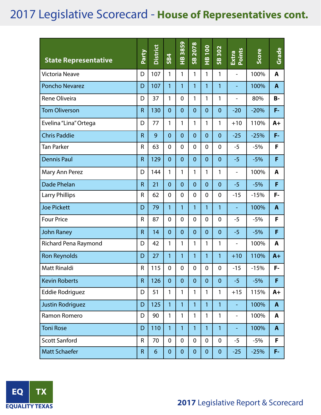| <b>State Representative</b> | Party        | <b>District</b> | <b>SB4</b>     | 3859<br>$\frac{\omega}{L}$ | 2078<br>$\frac{8}{5}$ | <b>001</b><br>$\frac{\infty}{1}$ | 302<br>$\frac{8}{5}$ | Points<br>Extra          | Score  | Grade          |
|-----------------------------|--------------|-----------------|----------------|----------------------------|-----------------------|----------------------------------|----------------------|--------------------------|--------|----------------|
| <b>Victoria Neave</b>       | D            | 107             | 1              | 1                          | $\mathbf{1}$          | 1                                | 1                    | L,                       | 100%   | A              |
| <b>Poncho Nevarez</b>       | D            | 107             | 1              | 1                          | $\mathbf{1}$          | 1                                | 1                    | ÷                        | 100%   | A              |
| Rene Oliveira               | D            | 37              | 1              | $\mathbf 0$                | 1                     | 1                                | 1                    | $\overline{\phantom{0}}$ | 80%    | <b>B-</b>      |
| <b>Tom Oliverson</b>        | $\mathsf{R}$ | 130             | $\overline{0}$ | $\overline{0}$             | $\overline{0}$        | $\overline{0}$                   | $\mathbf{0}$         | $-20$                    | $-20%$ | F-             |
| Evelina "Lina" Ortega       | D            | 77              | 1              | 1                          | 1                     | 1                                | 1                    | $+10$                    | 110%   | $A+$           |
| <b>Chris Paddie</b>         | $\mathsf{R}$ | 9               | $\overline{0}$ | $\overline{0}$             | $\overline{0}$        | $\overline{0}$                   | $\overline{0}$       | $-25$                    | $-25%$ | F-             |
| <b>Tan Parker</b>           | $\mathsf{R}$ | 63              | $\mathbf 0$    | 0                          | 0                     | 0                                | $\mathbf 0$          | $-5$                     | $-5%$  | F              |
| <b>Dennis Paul</b>          | $\mathsf{R}$ | 129             | $\overline{0}$ | $\overline{0}$             | $\overline{0}$        | $\overline{0}$                   | $\overline{0}$       | $-5$                     | $-5%$  | F              |
| Mary Ann Perez              | D            | 144             | 1              | 1                          | 1                     | 1                                | 1                    | L,                       | 100%   | A              |
| <b>Dade Phelan</b>          | $\mathsf{R}$ | 21              | $\mathbf 0$    | $\overline{0}$             | $\overline{0}$        | $\overline{0}$                   | $\overline{0}$       | $-5$                     | $-5%$  | F              |
| <b>Larry Phillips</b>       | R            | 62              | $\mathbf 0$    | 0                          | 0                     | $\mathbf 0$                      | $\mathbf 0$          | $-15$                    | $-15%$ | F-             |
| <b>Joe Pickett</b>          | D            | 79              | 1              | 1                          | $\overline{1}$        | 1                                | 1                    | ۳                        | 100%   | $\overline{A}$ |
| <b>Four Price</b>           | $\mathsf{R}$ | 87              | $\mathbf 0$    | $\overline{0}$             | $\overline{0}$        | $\mathbf 0$                      | $\overline{0}$       | $-5$                     | $-5%$  | F              |
| <b>John Raney</b>           | $\mathsf{R}$ | 14              | $\overline{0}$ | $\overline{0}$             | $\overline{0}$        | $\overline{0}$                   | $\overline{0}$       | $-5$                     | $-5%$  | F              |
| <b>Richard Pena Raymond</b> | D            | 42              | 1              | 1                          | 1                     | 1                                | 1                    | -                        | 100%   | A              |
| <b>Ron Reynolds</b>         | D            | 27              | 1              | 1                          | 1                     | 1                                | 1                    | $+10$                    | 110%   | $A+$           |
| Matt Rinaldi                | ${\sf R}$    | 115             | $\mathbf 0$    | 0                          | 0                     | 0                                | 0                    | $-15$                    | $-15%$ | F-             |
| <b>Kevin Roberts</b>        | $\mathsf{R}$ | 126             | $\mathbf{0}$   | $\overline{0}$             | $\overline{0}$        | $\overline{0}$                   | $\mathbf{0}$         | $-5$                     | $-5%$  | F              |
| <b>Eddie Rodriguez</b>      | D            | 51              | $\mathbf{1}$   | 1                          | 1                     | 1                                | 1                    | $+15$                    | 115%   | $A+$           |
| Justin Rodriguez            | D            | 125             | $\mathbf{1}$   | $\overline{1}$             | $\overline{1}$        | 1                                | 1                    |                          | 100%   | $\mathbf{A}$   |
| Ramon Romero                | D            | 90              | 1              | 1                          | 1                     | 1                                | 1                    | $\overline{\phantom{0}}$ | 100%   | A              |
| <b>Toni Rose</b>            | D            | 110             | $\mathbf{1}$   | $\mathbf{1}$               | 1                     | $\mathbf{1}$                     | 1                    | ÷                        | 100%   | $\mathbf{A}$   |
| <b>Scott Sanford</b>        | $\mathsf{R}$ | 70              | $\mathbf 0$    | $\mathbf 0$                | $\mathbf 0$           | $\overline{0}$                   | $\mathbf 0$          | $-5$                     | $-5%$  | F              |
| <b>Matt Schaefer</b>        | $\mathsf R$  | $6\phantom{a}$  | $\pmb{0}$      | $\pmb{0}$                  | $\pmb{0}$             | $\pmb{0}$                        | $\pmb{0}$            | $-25$                    | $-25%$ | F-             |

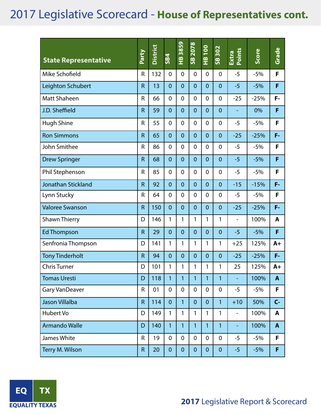| <b>State Representative</b> | Party        | <b>District</b> | <b>SB4</b>     | 3859<br>$\frac{\omega}{L}$ | 2078<br>$\frac{8}{5}$ | <b>OOL</b><br>$\frac{8}{1}$ | 302<br>$\frac{8}{5}$ | Points<br>Extra          | Score  | Grade        |
|-----------------------------|--------------|-----------------|----------------|----------------------------|-----------------------|-----------------------------|----------------------|--------------------------|--------|--------------|
| Mike Schofield              | R            | 132             | $\mathbf 0$    | $\mathbf 0$                | $\overline{0}$        | $\mathbf 0$                 | $\mathbf 0$          | $-5$                     | $-5%$  | F            |
| Leighton Schubert           | $\mathsf{R}$ | 13              | $\overline{0}$ | $\overline{0}$             | $\overline{0}$        | $\overline{0}$              | $\overline{0}$       | $-5$                     | $-5%$  | F            |
| Matt Shaheen                | R            | 66              | $\mathbf 0$    | 0                          | 0                     | $\mathbf 0$                 | $\mathbf 0$          | $-25$                    | $-25%$ | F-           |
| J.D. Sheffield              | $\mathsf{R}$ | 59              | $\overline{0}$ | $\overline{0}$             | $\overline{0}$        | $\overline{0}$              | $\overline{0}$       |                          | 0%     | F            |
| <b>Hugh Shine</b>           | R            | 55              | $\mathbf 0$    | $\overline{0}$             | 0                     | $\mathbf 0$                 | $\mathbf 0$          | $-5$                     | $-5%$  | F            |
| <b>Ron Simmons</b>          | $\mathsf{R}$ | 65              | $\overline{0}$ | $\overline{0}$             | $\overline{0}$        | $\overline{0}$              | $\overline{0}$       | $-25$                    | $-25%$ | F-           |
| John Smithee                | R            | 86              | $\mathbf 0$    | $\overline{0}$             | $\overline{0}$        | $\mathbf 0$                 | $\mathbf 0$          | $-5$                     | $-5%$  | F            |
| <b>Drew Springer</b>        | $\mathsf{R}$ | 68              | $\overline{0}$ | $\overline{0}$             | $\overline{0}$        | $\overline{0}$              | $\overline{0}$       | $-5$                     | $-5%$  | F            |
| Phil Stephenson             | R            | 85              | $\mathbf 0$    | $\overline{0}$             | $\overline{0}$        | $\mathbf 0$                 | $\mathbf 0$          | $-5$                     | $-5%$  | F            |
| Jonathan Stickland          | $\mathsf{R}$ | 92              | $\overline{0}$ | $\overline{0}$             | $\overline{0}$        | $\overline{0}$              | $\overline{0}$       | $-15$                    | $-15%$ | F-           |
| Lynn Stucky                 | R            | 64              | $\mathbf 0$    | $\mathbf 0$                | $\overline{0}$        | $\mathbf 0$                 | $\mathbf 0$          | $-5$                     | $-5%$  | F            |
| <b>Valoree Swanson</b>      | $\mathsf{R}$ | 150             | $\overline{0}$ | $\overline{0}$             | $\overline{0}$        | $\overline{0}$              | $\overline{0}$       | $-25$                    | $-25%$ | F-           |
| <b>Shawn Thierry</b>        | D            | 146             | 1              | 1                          | 1                     | 1                           | 1                    | $\overline{\phantom{0}}$ | 100%   | A            |
| <b>Ed Thompson</b>          | $\mathsf{R}$ | 29              | $\overline{0}$ | $\overline{0}$             | $\overline{0}$        | $\overline{0}$              | $\overline{0}$       | $-5$                     | $-5%$  | F            |
| Senfronia Thompson          | D            | 141             | 1              | 1                          | 1                     | 1                           | 1                    | $+25$                    | 125%   | $A+$         |
| <b>Tony Tinderholt</b>      | $\mathsf{R}$ | 94              | $\overline{0}$ | $\overline{0}$             | $\overline{0}$        | $\overline{0}$              | $\overline{0}$       | $-25$                    | $-25%$ | F-           |
| <b>Chris Turner</b>         | D            | 101             | 1              | 1                          | 1                     | 1                           | 1                    | 25                       | 125%   | $A+$         |
| <b>Tomas Uresti</b>         | D            | 118             | $\mathbf{1}$   | 1                          | 1                     | 1                           | 1                    | ÷                        | 100%   | A            |
| <b>Gary VanDeaver</b>       | R            | 01              | $\mathbf 0$    | 0                          | 0                     | $\mathbf 0$                 | $\mathbf 0$          | $-5$                     | $-5%$  | F            |
| <b>Jason Villalba</b>       | $\mathsf R$  | 114             | $\mathbf{0}$   | 1                          | $\overline{0}$        | $\mathbf{0}$                | 1                    | $+10$                    | 50%    | $C -$        |
| Hubert Vo                   | D            | 149             | $\mathbf{1}$   | 1                          | $\mathbf{1}$          | $\mathbf{1}$                | 1                    | $\overline{\phantom{a}}$ | 100%   | A            |
| <b>Armando Walle</b>        | D            | 140             | $\mathbf{1}$   | 1                          | $\mathbf{1}$          | $\mathbf{1}$                | $\mathbf{1}$         | ÷                        | 100%   | $\mathbf{A}$ |
| James White                 | R            | 19              | $\mathbf 0$    | $\mathbf 0$                | $\mathbf 0$           | $\mathbf 0$                 | $\mathbf 0$          | $-5$                     | $-5%$  | F            |
| Terry M. Wilson             | $\mathsf{R}$ | 20              | $\mathbf{0}$   | $\overline{0}$             | $\overline{0}$        | $\mathbf 0$                 | $\mathbf 0$          | $-5$                     | $-5%$  | F            |

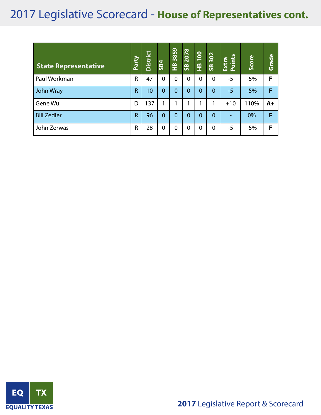| <b>State Representative</b> | Party          | <b>District</b> | <b>SB4</b>     | 3859<br>옾      | 2078<br>S <sup>o</sup> | $\overline{100}$<br>$\mathbf{\Xi}^{\mathsf{b}}$ | 302<br>$\overline{\mathbf{s}}$ | Points<br>Extra | Score | Grade |
|-----------------------------|----------------|-----------------|----------------|----------------|------------------------|-------------------------------------------------|--------------------------------|-----------------|-------|-------|
| Paul Workman                | R              | 47              | $\Omega$       | 0              | 0                      | $\Omega$                                        | $\Omega$                       | $-5$            | $-5%$ | F     |
| John Wray                   | $\overline{R}$ | 10 <sup>°</sup> | $\overline{0}$ | $\overline{0}$ | $\overline{0}$         | $\overline{0}$                                  | $\mathbf{0}$                   | $-5$            | $-5%$ | F     |
| Gene Wu                     | D              | 137             |                |                |                        |                                                 |                                | $+10$           | 110%  | $A+$  |
| <b>Bill Zedler</b>          | $\overline{R}$ | 96              | $\overline{0}$ | $\overline{0}$ | $\overline{0}$         | $\overline{0}$                                  | $\Omega$                       |                 | 0%    | F     |
| John Zerwas                 | $\mathsf{R}$   | 28              | 0              | 0              | $\overline{0}$         | 0                                               | $\mathbf 0$                    | $-5$            | $-5%$ | F     |

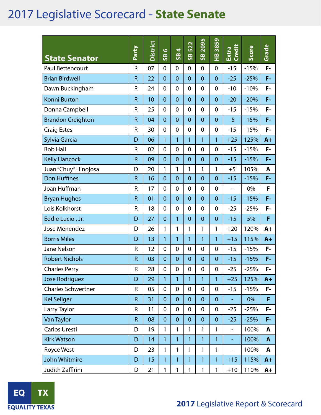### 2017 Legislative Scorecard - **State Senate**

| <b>State Senator</b>      | Party        | District | $\bullet$<br>$\frac{8}{5}$ | 4<br>$\frac{8}{5}$ | 522<br>$\frac{8}{5}$ | 2095<br>$\frac{8}{5}$ | 3859<br>오<br>エ | Extra<br>Credit          | Score  | Grade        |
|---------------------------|--------------|----------|----------------------------|--------------------|----------------------|-----------------------|----------------|--------------------------|--------|--------------|
| Paul Bettencourt          | R            | 07       | $\mathbf 0$                | $\mathbf 0$        | 0                    | $\mathbf 0$           | $\mathbf 0$    | $-15$                    | $-15%$ | F-           |
| <b>Brian Birdwell</b>     | $\mathsf{R}$ | 22       | $\overline{0}$             | $\overline{0}$     | $\overline{0}$       | $\overline{0}$        | $\mathbf 0$    | $-25$                    | $-25%$ | F-           |
| Dawn Buckingham           | R            | 24       | $\mathbf 0$                | $\overline{0}$     | 0                    | $\overline{0}$        | 0              | $-10$                    | $-10%$ | F-           |
| <b>Konni Burton</b>       | $\mathsf{R}$ | 10       | $\overline{0}$             | $\overline{0}$     | $\overline{0}$       | $\overline{0}$        | $\overline{0}$ | $-20$                    | $-20%$ | F-           |
| Donna Campbell            | R            | 25       | $\overline{0}$             | $\overline{0}$     | 0                    | $\overline{0}$        | $\mathbf 0$    | $-15$                    | $-15%$ | F-           |
| <b>Brandon Creighton</b>  | $\mathsf{R}$ | 04       | $\overline{0}$             | $\overline{0}$     | $\overline{0}$       | $\overline{0}$        | $\overline{0}$ | $-5$                     | $-15%$ | F-           |
| <b>Craig Estes</b>        | R            | 30       | $\mathbf 0$                | $\overline{0}$     | 0                    | 0                     | $\overline{0}$ | $-15$                    | $-15%$ | F-           |
| Sylvia Garcia             | D            | 06       | 1                          | 1                  | 1                    | 1                     | 1              | $+25$                    | 125%   | $A+$         |
| <b>Bob Hall</b>           | R            | 02       | $\mathbf 0$                | $\mathbf 0$        | 0                    | $\overline{0}$        | 0              | $-15$                    | $-15%$ | F-           |
| <b>Kelly Hancock</b>      | $\mathsf{R}$ | 09       | $\overline{0}$             | $\overline{0}$     | $\overline{0}$       | $\overline{0}$        | $\mathbf 0$    | $-15$                    | $-15%$ | F-           |
| Juan "Chuy" Hinojosa      | D            | 20       | 1                          | 1                  | $\mathbf{1}$         | 1                     | 1              | $+5$                     | 105%   | A            |
| <b>Don Huffines</b>       | $\mathsf R$  | 16       | $\overline{0}$             | $\overline{0}$     | $\overline{0}$       | $\overline{0}$        | $\mathbf 0$    | $-15$                    | $-15%$ | F-           |
| Joan Huffman              | R            | 17       | $\mathbf 0$                | $\mathbf 0$        | 0                    | $\overline{0}$        | $\mathbf 0$    | $\overline{\phantom{a}}$ | 0%     | F            |
| <b>Bryan Hughes</b>       | $\mathsf{R}$ | 01       | $\overline{0}$             | $\overline{0}$     | $\overline{0}$       | $\overline{0}$        | $\overline{0}$ | $-15$                    | $-15%$ | F-           |
| Lois Kolkhorst            | R            | 18       | $\overline{0}$             | $\mathbf 0$        | 0                    | $\overline{0}$        | $\overline{0}$ | $-25$                    | $-25%$ | F-           |
| Eddie Lucio, Jr.          | D            | 27       | $\overline{0}$             | 1                  | $\mathbf 0$          | $\overline{0}$        | $\overline{0}$ | $-15$                    | 5%     | F            |
| Jose Menendez             | D            | 26       | 1                          | 1                  | 1                    | 1                     | 1              | $+20$                    | 120%   | $A+$         |
| <b>Borris Miles</b>       | D            | 13       | 1                          | 1                  | 1                    | 1                     | 1              | $+15$                    | 115%   | $A+$         |
| Jane Nelson               | R            | 12       | $\mathbf 0$                | $\mathbf 0$        | $\mathbf 0$          | $\overline{0}$        | $\overline{0}$ | $-15$                    | $-15%$ | F-           |
| <b>Robert Nichols</b>     | $\mathsf R$  | 03       | $\mathbf 0$                | $\overline{0}$     | $\overline{0}$       | $\mathbf 0$           | $\overline{0}$ | $-15$                    | $-15%$ | F-           |
| <b>Charles Perry</b>      | R            | 28       | $\overline{0}$             | 0                  | $\overline{0}$       | 0                     | 0              | $-25$                    | $-25%$ | F-           |
| Jose Rodriguez            | D            | 29       | $\mathbf{1}$               | 1                  | 1                    | $\mathbf{1}$          | 1              | $+25$                    | 125%   | $A+$         |
| <b>Charles Schwertner</b> | R            | 05       | $\mathbf 0$                | $\mathbf 0$        | $\mathbf 0$          | $\mathbf 0$           | $\mathbf 0$    | $-15$                    | $-15%$ | F-           |
| <b>Kel Seliger</b>        | $\mathsf R$  | 31       | $\mathbf 0$                | $\mathbf{0}$       | $\mathbf 0$          | $\overline{0}$        | $\mathbf 0$    |                          | 0%     | F            |
| Larry Taylor              | R            | 11       | $\mathbf 0$                | $\mathbf 0$        | $\mathbf 0$          | $\mathbf 0$           | $\mathbf 0$    | $-25$                    | $-25%$ | F-           |
| Van Taylor                | $\mathsf R$  | 08       | $\overline{0}$             | $\mathbf 0$        | $\mathbf 0$          | $\overline{0}$        | $\mathbf{0}$   | $-25$                    | $-25%$ | F-           |
| Carlos Uresti             | D            | 19       | $\mathbf{1}$               | 1                  | 1                    | 1                     | 1              | $\overline{\phantom{a}}$ | 100%   | A            |
| <b>Kirk Watson</b>        | D            | 14       | $\overline{1}$             | 1                  | 1                    | $\overline{1}$        | $\overline{1}$ |                          | 100%   | $\mathbf{A}$ |
| Royce West                | D            | 23       | $\mathbf{1}$               | 1                  | 1                    | 1                     | 1              | $\overline{\phantom{a}}$ | 100%   | A            |
| John Whitmire             | D            | 15       | 1                          | 1                  | 1                    | 1                     | $\mathbf{1}$   | $+15$                    | 115%   | $A+$         |
| Judith Zaffirini          | D            | 21       | 1                          | 1                  | 1                    | 1                     | 1              | $+10$                    | 110%   | A+           |